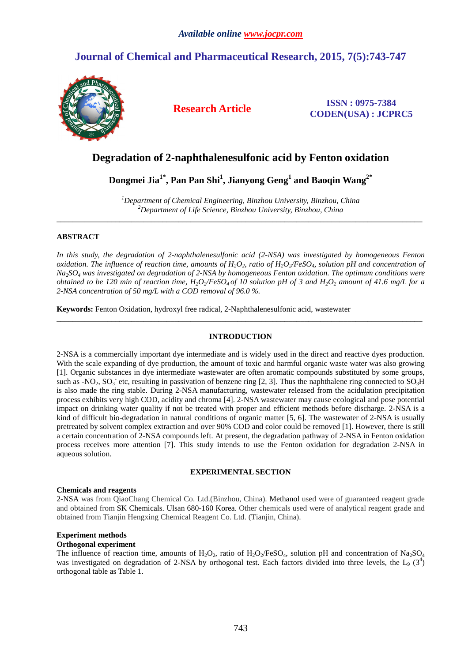# **Journal of Chemical and Pharmaceutical Research, 2015, 7(5):743-747**



**Research Article ISSN : 0975-7384 CODEN(USA) : JCPRC5**

# **Degradation of 2-naphthalenesulfonic acid by Fenton oxidation**

**Dongmei Jia1\*, Pan Pan Shi<sup>1</sup> , Jianyong Geng<sup>1</sup> and Baoqin Wang2\*** 

*<sup>1</sup>Department of Chemical Engineering, Binzhou University, Binzhou, China <sup>2</sup>Department of Life Science, Binzhou University, Binzhou, China*  \_\_\_\_\_\_\_\_\_\_\_\_\_\_\_\_\_\_\_\_\_\_\_\_\_\_\_\_\_\_\_\_\_\_\_\_\_\_\_\_\_\_\_\_\_\_\_\_\_\_\_\_\_\_\_\_\_\_\_\_\_\_\_\_\_\_\_\_\_\_\_\_\_\_\_\_\_\_\_\_\_\_\_\_\_\_\_\_\_\_\_\_\_

## **ABSTRACT**

*In this study, the degradation of 2-naphthalenesulfonic acid (2-NSA) was investigated by homogeneous Fenton oxidation. The influence of reaction time, amounts of H2O2, ratio of H2O2/FeSO4, solution pH and concentration of Na2SO4 was investigated on degradation of 2-NSA by homogeneous Fenton oxidation. The optimum conditions were obtained to be 120 min of reaction time,*  $H_2O_2/FeSO_4$  *of 10 solution pH of 3 and*  $H_2O_2$  *amount of 41.6 mg/L for a 2-NSA concentration of 50 mg/L with a COD removal of 96.0 %.* 

**Keywords:** Fenton Oxidation, hydroxyl free radical, 2-Naphthalenesulfonic acid, wastewater

## **INTRODUCTION**

 $\overline{a}$  , and the contribution of the contribution of the contribution of the contribution of the contribution of the contribution of the contribution of the contribution of the contribution of the contribution of the co

2-NSA is a commercially important dye intermediate and is widely used in the direct and reactive dyes production. With the scale expanding of dye production, the amount of toxic and harmful organic waste water was also growing [1]. Organic substances in dye intermediate wastewater are often aromatic compounds substituted by some groups, such as -NO<sub>2</sub>, SO<sub>3</sub> etc, resulting in passivation of benzene ring [2, 3]. Thus the naphthalene ring connected to SO<sub>3</sub>H is also made the ring stable. During 2-NSA manufacturing, wastewater released from the acidulation precipitation process exhibits very high COD, acidity and chroma [4]. 2-NSA wastewater may cause ecological and pose potential impact on drinking water quality if not be treated with proper and efficient methods before discharge. 2-NSA is a kind of difficult bio-degradation in natural conditions of organic matter [5, 6]. The wastewater of 2-NSA is usually pretreated by solvent complex extraction and over 90% COD and color could be removed [1]. However, there is still a certain concentration of 2-NSA compounds left. At present, the degradation pathway of 2-NSA in Fenton oxidation process receives more attention [7]. This study intends to use the Fenton oxidation for degradation 2-NSA in aqueous solution.

## **EXPERIMENTAL SECTION**

## **Chemicals and reagents**

2-NSA was from QiaoChang Chemical Co. Ltd.(Binzhou, China). Methanol used were of guaranteed reagent grade and obtained from SK Chemicals. Ulsan 680-160 Korea. Other chemicals used were of analytical reagent grade and obtained from Tianjin Hengxing Chemical Reagent Co. Ltd. (Tianjin, China).

## **Experiment methods**

## **Orthogonal experiment**

The influence of reaction time, amounts of H<sub>2</sub>O<sub>2</sub>, ratio of H<sub>2</sub>O<sub>2</sub>/FeSO<sub>4</sub>, solution pH and concentration of Na<sub>2</sub>SO<sub>4</sub> was investigated on degradation of 2-NSA by orthogonal test. Each factors divided into three levels, the  $L_9$  (3<sup>4</sup>) orthogonal table as Table 1.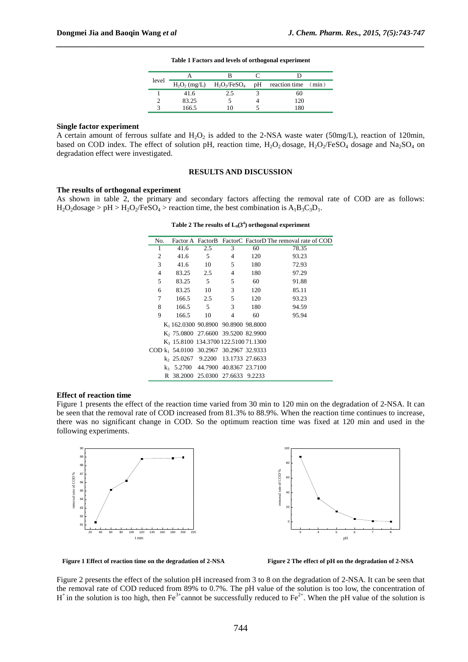| level |                 |                 |    |                     |
|-------|-----------------|-----------------|----|---------------------|
|       | $H_2O_2$ (mg/L) | $H_2O_2/FeSO_4$ | pH | reaction time (min) |
|       | 41.6            | 2.5             |    | 60                  |
|       | 83.25           |                 |    | 120                 |
|       | 166.5           | 10              |    | 180                 |
|       |                 |                 |    |                     |

#### **Table 1 Factors and levels of orthogonal experiment**

*\_\_\_\_\_\_\_\_\_\_\_\_\_\_\_\_\_\_\_\_\_\_\_\_\_\_\_\_\_\_\_\_\_\_\_\_\_\_\_\_\_\_\_\_\_\_\_\_\_\_\_\_\_\_\_\_\_\_\_\_\_\_\_\_\_\_\_\_\_\_\_\_\_\_\_\_\_\_*

#### **Single factor experiment**

A certain amount of ferrous sulfate and  $H_2O_2$  is added to the 2-NSA waste water (50mg/L), reaction of 120min, based on COD index. The effect of solution pH, reaction time,  $H_2O_2$  dosage,  $H_2O_2$ /FeSO<sub>4</sub> dosage and Na<sub>2</sub>SO<sub>4</sub> on degradation effect were investigated.

#### **RESULTS AND DISCUSSION**

#### **The results of orthogonal experiment**

As shown in table 2, the primary and secondary factors affecting the removal rate of COD are as follows:  $H_2O_2$ dosage > pH >  $H_2O_2$ /FeSO<sub>4</sub> > reaction time, the best combination is  $A_1B_3C_3D_1$ .

**Table 2 The results of L9(3<sup>4</sup> ) orthogonal experiment** 

| No.            |                                                    |                                |                         |     | Factor A Factor B Factor C Factor D The removal rate of COD |
|----------------|----------------------------------------------------|--------------------------------|-------------------------|-----|-------------------------------------------------------------|
| 1              | 41.6                                               | 2.5                            | 3                       | 60  | 78.35                                                       |
| 2              | 41.6                                               | 5                              | 4                       | 120 | 93.23                                                       |
| 3              | 41.6                                               | 10                             | 5                       | 180 | 72.93                                                       |
| $\overline{4}$ | 83.25                                              | 2.5                            | 4                       | 180 | 97.29                                                       |
| 5              | 83.25                                              | 5                              | 5                       | 60  | 91.88                                                       |
| 6              | 83.25                                              | 10                             | 3                       | 120 | 85.11                                                       |
| 7              | 166.5                                              | 2.5                            | 5                       | 120 | 93.23                                                       |
| 8              | 166.5                                              | 5                              | 3                       | 180 | 94.59                                                       |
| 9              | 166.5                                              | 10                             | 4                       | 60  | 95.94                                                       |
|                | $K_1$ 162.0300 90.8900 90.8900 98.8000             |                                |                         |     |                                                             |
|                | K <sub>2</sub> 75.0800 27.6600 39.5200 82.9900     |                                |                         |     |                                                             |
|                | K <sub>3</sub> 15.8100 134.3700 122.5100 71.1300   |                                |                         |     |                                                             |
|                | COD k <sub>1</sub> 54.0100 30.2967 30.2967 32.9333 |                                |                         |     |                                                             |
|                | $k$ , 25.0267 9.2200                               |                                | 13.1733 27.6633         |     |                                                             |
|                | $k_3$ 5.2700                                       |                                | 44.7900 40.8367 23.7100 |     |                                                             |
|                | R                                                  | 38.2000 25.0300 27.6633 9.2233 |                         |     |                                                             |

#### **Effect of reaction time**

Figure 1 presents the effect of the reaction time varied from 30 min to 120 min on the degradation of 2-NSA. It can be seen that the removal rate of COD increased from 81.3% to 88.9%. When the reaction time continues to increase, there was no significant change in COD. So the optimum reaction time was fixed at 120 min and used in the following experiments.





Figure 1 Effect of reaction time on the degradation of 2-NSA

Figure 2 The effect of pH on the degradation of 2-NSA

Figure 2 presents the effect of the solution pH increased from 3 to 8 on the degradation of 2-NSA. It can be seen that the removal rate of COD reduced from 89% to 0.7%. The pH value of the solution is too low, the concentration of  $H^+$  in the solution is too high, then Fe<sup>3+</sup>cannot be successfully reduced to Fe<sup>2+</sup>. When the pH value of the solution is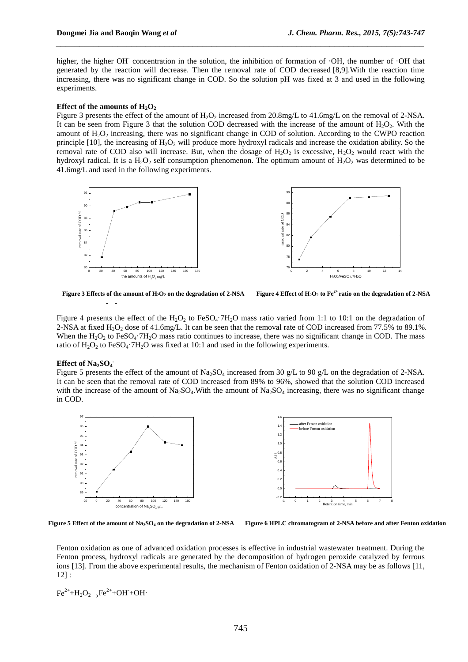higher, the higher OH<sup>-</sup> concentration in the solution, the inhibition of formation of ·OH, the number of ·OH that generated by the reaction will decrease. Then the removal rate of COD decreased [8,9].With the reaction time increasing, there was no significant change in COD. So the solution pH was fixed at 3 and used in the following experiments.

*\_\_\_\_\_\_\_\_\_\_\_\_\_\_\_\_\_\_\_\_\_\_\_\_\_\_\_\_\_\_\_\_\_\_\_\_\_\_\_\_\_\_\_\_\_\_\_\_\_\_\_\_\_\_\_\_\_\_\_\_\_\_\_\_\_\_\_\_\_\_\_\_\_\_\_\_\_\_*

#### **Effect of the amounts of**  $H_2O_2$

Figure 3 presents the effect of the amount of  $H_2O_2$  increased from 20.8mg/L to 41.6mg/L on the removal of 2-NSA. It can be seen from Figure 3 that the solution COD decreased with the increase of the amount of  $H_2O_2$ . With the amount of  $H_2O_2$  increasing, there was no significant change in COD of solution. According to the CWPO reaction principle [10], the increasing of  $H_2O_2$  will produce more hydroxyl radicals and increase the oxidation ability. So the removal rate of COD also will increase. But, when the dosage of  $H_2O_2$  is excessive,  $H_2O_2$  would react with the hydroxyl radical. It is a  $H_2O_2$  self consumption phenomenon. The optimum amount of  $H_2O_2$  was determined to be 41.6mg/L and used in the following experiments.



Figure 3 Effects of the amount of  $H_2O_2$  on the degradation of 2-NSA Figure 4 Effect of  $H_2O_2$  to  $Fe^{2+}$  ratio on the degradation of 2-NSA

Figure 4 presents the effect of the  $H_2O_2$  to FeSO<sub>4</sub>·7H<sub>2</sub>O mass ratio varied from 1:1 to 10:1 on the degradation of 2-NSA at fixed  $H_2O_2$  dose of 41.6mg/L. It can be seen that the removal rate of COD increased from 77.5% to 89.1%. When the  $H_2O_2$  to FeSO<sub>4</sub>·7H<sub>2</sub>O mass ratio continues to increase, there was no significant change in COD. The mass ratio of  $H_2O_2$  to FeSO<sub>4</sub>·7H<sub>2</sub>O was fixed at 10:1 and used in the following experiments.

# **Effect of Na2SO<sup>4</sup> .**

Figure 5 presents the effect of the amount of  $Na<sub>2</sub>SO<sub>4</sub>$  increased from 30 g/L to 90 g/L on the degradation of 2-NSA. It can be seen that the removal rate of COD increased from 89% to 96%, showed that the solution COD increased with the increase of the amount of  $Na_2SO_4$ . With the amount of  $Na_2SO_4$  increasing, there was no significant change in COD.



**The mechanism of Fenton oxidation of 2-NSA. Figure 5 Effect of the amount of Na2SO4 on the degradation of 2-NSA Figure 6 HPLC chromatogram of 2-NSA before and after Fenton oxidation** 

Fenton oxidation as one of advanced oxidation processes is effective in industrial wastewater treatment. During the Fenton process, hydroxyl radicals are generated by the decomposition of hydrogen peroxide catalyzed by ferrous ions [13]. From the above experimental results, the mechanism of Fenton oxidation of 2-NSA may be as follows [11, 12] :

$$
\text{Fe}^{2+} + H_2O_2 \longrightarrow \text{Fe}^{2+} + OH + OH + OH
$$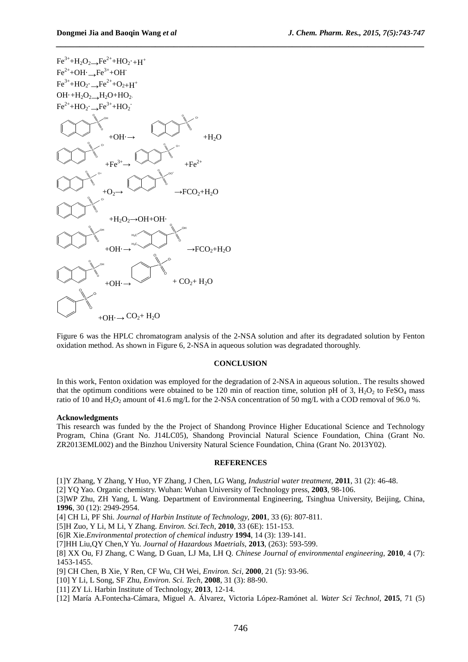

Figure 6 was the HPLC chromatogram analysis of the 2-NSA solution and after its degradated solution by Fenton oxidation method. As shown in Figure 6, 2-NSA in aqueous solution was degradated thoroughly.

#### **CONCLUSION**

In this work, Fenton oxidation was employed for the degradation of 2-NSA in aqueous solution.. The results showed that the optimum conditions were obtained to be 120 min of reaction time, solution pH of 3,  $H_2O_2$  to FeSO<sub>4</sub> mass ratio of 10 and H<sub>2</sub>O<sub>2</sub> amount of 41.6 mg/L for the 2-NSA concentration of 50 mg/L with a COD removal of 96.0 %.

#### **Acknowledgments**

This research was funded by the the Project of Shandong Province Higher Educational Science and Technology Program, China (Grant No. J14LC05), Shandong Provincial Natural Science Foundation, China (Grant No. ZR2013EML002) and the Binzhou University Natural Science Foundation, China (Grant No. 2013Y02).

#### **REFERENCES**

[1]Y Zhang, Y Zhang, Y Huo, YF Zhang, J Chen, LG Wang, *Industrial water treatment*, **2011**, 31 (2): 46-48.

[2] YQ Yao. Organic chemistry. Wuhan: Wuhan University of Technology press, **2003**, 98-106.

[3]WP Zhu, ZH Yang, L Wang. Department of Environmental Engineering, Tsinghua University, Beijing, China, **1996**, 30 (12): 2949-2954.

[4] CH Li, PF Shi. *Journal of Harbin Institute of Technology*, **2001**, 33 (6): 807-811.

[5]H Zuo, Y Li, M Li, Y Zhang. *Environ. Sci.Tech*, **2010**, 33 (6E): 151-153.

[6]R Xie.*Environmental protection of chemical industry* **1994**, 14 (3): 139-141.

[7]HH Liu,QY Chen,Y Yu. *Journal of Hazardous Maetrials*, **2013**, (263): 593-599.

[8] XX Ou, FJ Zhang, C Wang, D Guan, LJ Ma, LH Q. *Chinese Journal of environmental engineering*, **2010**, 4 (7): 1453-1455.

[9] CH Chen, B Xie, Y Ren, CF Wu, CH Wei, *Environ. Sci*, **2000**, 21 (5): 93-96.

[10] Y Li, L Song, SF Zhu, *Environ. Sci. Tech*, **2008**, 31 (3): 88-90.

[11] ZY Li. Harbin Institute of Technology, **2013**, 12-14.

[12] María A.Fontecha-Cámara, Miguel A. Álvarez, Victoria López-Ramónet al. *Water Sci Technol*, **2015**, 71 (5)